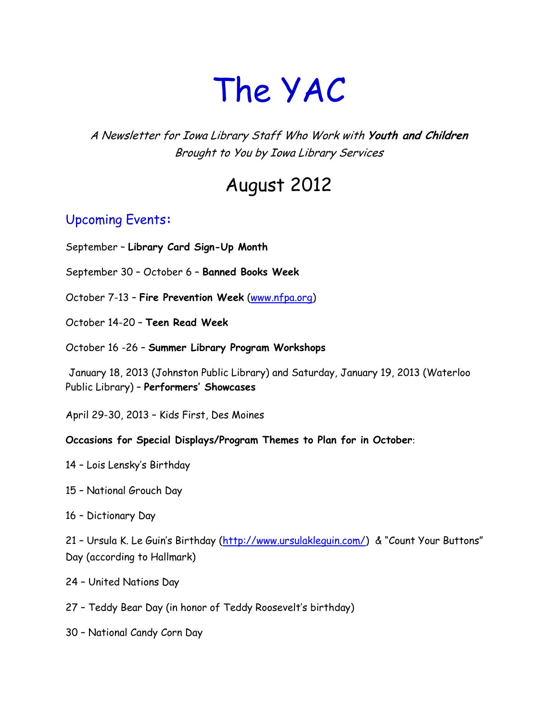# The YAC

A Newsletter for Iowa Library Staff Who Work with **Youth and Children** Brought to You by Iowa Library Services

# August 2012

### Upcoming Events**:**

September – **Library Card Sign-Up Month**

September 30 – October 6 – **Banned Books Week**

October 7-13 – **Fire Prevention Week** [\(www.nfpa.org\)](http://www.nfpa.org/)

October 14-20 – **Teen Read Week**

October 16 -26 – **Summer Library Program Workshops**

January 18, 2013 (Johnston Public Library) and Saturday, January 19, 2013 (Waterloo Public Library) – **Performers' Showcases**

April 29-30, 2013 – Kids First, Des Moines

#### **Occasions for Special Displays/Program Themes to Plan for in October**:

- 14 Lois Lensky's Birthday
- 15 National Grouch Day
- 16 Dictionary Day

21 - Ursula K. Le Guin's Birthday (http://www.ursulaklequin.com/) & "Count Your Buttons" Day (according to Hallmark)

- 24 United Nations Day
- 27 Teddy Bear Day (in honor of Teddy Roosevelt's birthday)
- 30 National Candy Corn Day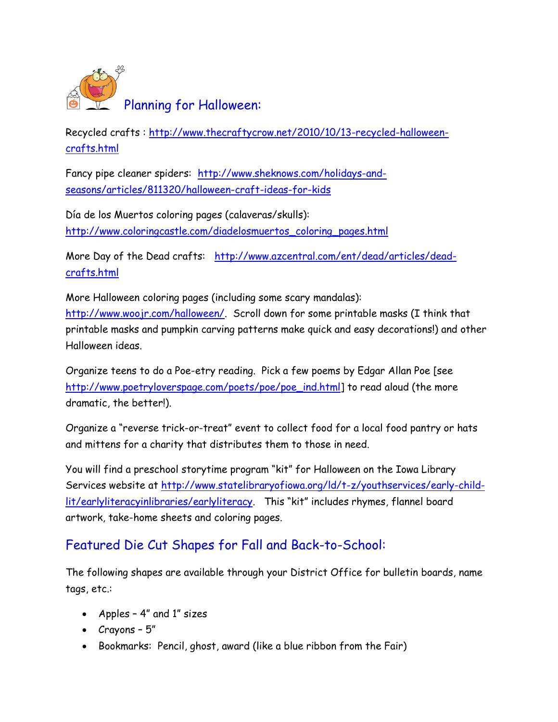

Recycled crafts : [http://www.thecraftycrow.net/2010/10/13-recycled-halloween](http://www.thecraftycrow.net/2010/10/13-recycled-halloween-crafts.html)[crafts.html](http://www.thecraftycrow.net/2010/10/13-recycled-halloween-crafts.html)

Fancy pipe cleaner spiders: [http://www.sheknows.com/holidays-and](http://www.sheknows.com/holidays-and-seasons/articles/811320/halloween-craft-ideas-for-kids)[seasons/articles/811320/halloween-craft-ideas-for-kids](http://www.sheknows.com/holidays-and-seasons/articles/811320/halloween-craft-ideas-for-kids)

Día de los Muertos coloring pages (calaveras/skulls): [http://www.coloringcastle.com/diadelosmuertos\\_coloring\\_pages.html](http://www.coloringcastle.com/diadelosmuertos_coloring_pages.html)

More Day of the Dead crafts: [http://www.azcentral.com/ent/dead/articles/dead](http://www.azcentral.com/ent/dead/articles/dead-crafts.html)[crafts.html](http://www.azcentral.com/ent/dead/articles/dead-crafts.html)

More Halloween coloring pages (including some scary mandalas): [http://www.woojr.com/halloween/.](http://www.woojr.com/halloween/) Scroll down for some printable masks (I think that printable masks and pumpkin carving patterns make quick and easy decorations!) and other Halloween ideas.

Organize teens to do a Poe-etry reading. Pick a few poems by Edgar Allan Poe [see [http://www.poetryloverspage.com/poets/poe/poe\\_ind.html\]](http://www.poetryloverspage.com/poets/poe/poe_ind.html) to read aloud (the more dramatic, the better!).

Organize a "reverse trick-or-treat" event to collect food for a local food pantry or hats and mittens for a charity that distributes them to those in need.

You will find a preschool storytime program "kit" for Halloween on the Iowa Library Services website at [http://www.statelibraryofiowa.org/ld/t-z/youthservices/early-child](http://www.statelibraryofiowa.org/ld/t-z/youthservices/early-child-lit/earlyliteracyinlibraries/earlyliteracy)[lit/earlyliteracyinlibraries/earlyliteracy](http://www.statelibraryofiowa.org/ld/t-z/youthservices/early-child-lit/earlyliteracyinlibraries/earlyliteracy). This "kit" includes rhymes, flannel board artwork, take-home sheets and coloring pages.

# Featured Die Cut Shapes for Fall and Back-to-School:

The following shapes are available through your District Office for bulletin boards, name tags, etc.:

- Apples 4" and 1" sizes
- Crayons 5"
- Bookmarks: Pencil, ghost, award (like a blue ribbon from the Fair)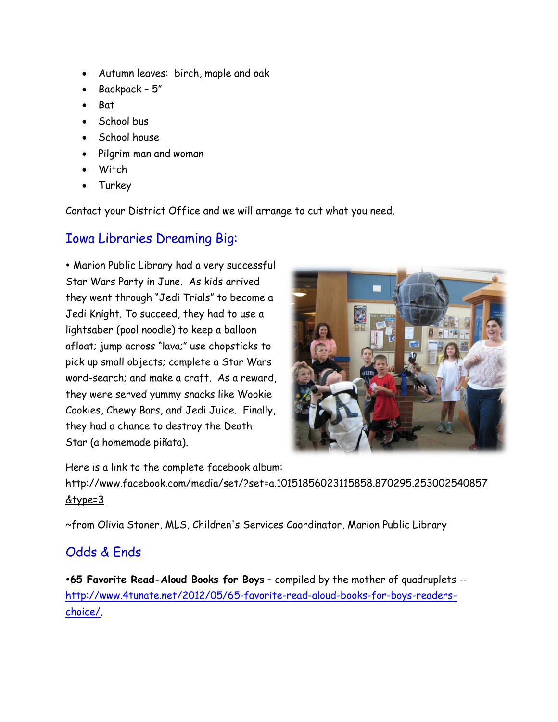- Autumn leaves: birch, maple and oak
- Backpack 5"
- **Bat**
- School bus
- School house
- Pilgrim man and woman
- **Witch**
- Turkey

Contact your District Office and we will arrange to cut what you need.

#### Iowa Libraries Dreaming Big:

 Marion Public Library had a very successful Star Wars Party in June. As kids arrived they went through "Jedi Trials" to become a Jedi Knight. To succeed, they had to use a lightsaber (pool noodle) to keep a balloon afloat; jump across "lava;" use chopsticks to pick up small objects; complete a Star Wars word-search; and make a craft. As a reward, they were served yummy snacks like Wookie Cookies, Chewy Bars, and Jedi Juice. Finally, they had a chance to destroy the Death Star (a homemade piñata).



Here is a link to the complete facebook album: [http://www.facebook.com/media/set/?set=a.10151856023115858.870295.253002540857](http://www.facebook.com/media/set/?set=a.10151856023115858.870295.253002540857&type=3) [&type=3](http://www.facebook.com/media/set/?set=a.10151856023115858.870295.253002540857&type=3)

~from Olivia Stoner, MLS, Children's Services Coordinator, Marion Public Library

# Odds & Ends

**65 Favorite Read-Aloud Books for Boys** – compiled by the mother of quadruplets - [http://www.4tunate.net/2012/05/65-favorite-read-aloud-books-for-boys-readers](http://www.4tunate.net/2012/05/65-favorite-read-aloud-books-for-boys-readers-choice/)[choice/.](http://www.4tunate.net/2012/05/65-favorite-read-aloud-books-for-boys-readers-choice/)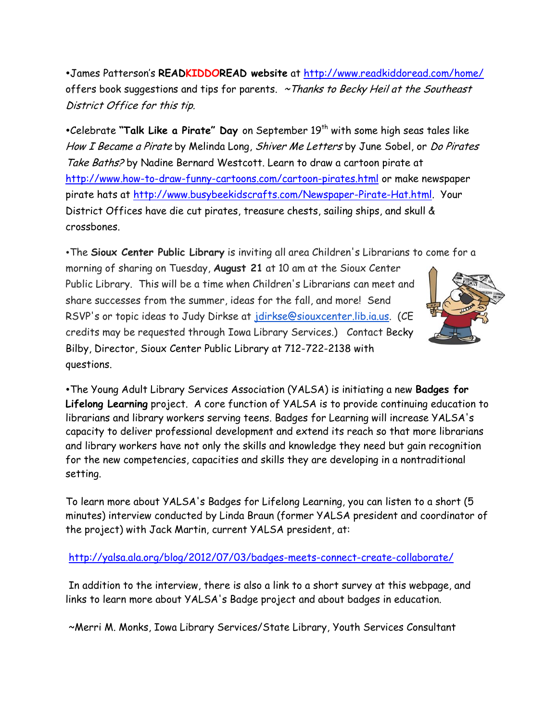James Patterson's **READKIDDOREAD website** at<http://www.readkiddoread.com/home/> offers book suggestions and tips for parents.  $\sim$  Thanks to Becky Heil at the Southeast District Office for this tip.

•Celebrate "Talk Like a Pirate" Day on September 19<sup>th</sup> with some high seas tales like How I Became a Pirate by Melinda Long, Shiver Me Letters by June Sobel, or Do Pirates Take Baths? by Nadine Bernard Westcott. Learn to draw a cartoon pirate at <http://www.how-to-draw-funny-cartoons.com/cartoon-pirates.html> or make newspaper pirate hats at [http://www.busybeekidscrafts.com/Newspaper-Pirate-Hat.html.](http://www.busybeekidscrafts.com/Newspaper-Pirate-Hat.html) Your District Offices have die cut pirates, treasure chests, sailing ships, and skull & crossbones.

The **Sioux Center Public Library** is inviting all area Children's Librarians to come for a

morning of sharing on Tuesday, **August 21** at 10 am at the Sioux Center Public Library. This will be a time when Children's Librarians can meet and share successes from the summer, ideas for the fall, and more! Send RSVP's or topic ideas to Judy Dirkse at [jdirkse@siouxcenter.lib.ia.us.](mailto:jdirkse@siouxcenter.lib.ia.us) (CE credits may be requested through Iowa Library Services.) Contact Becky Bilby, Director, Sioux Center Public Library at 712-722-2138 with questions.



The Young Adult Library Services Association (YALSA) is initiating a new **Badges for Lifelong Learning** project. A core function of YALSA is to provide continuing education to librarians and library workers serving teens. Badges for Learning will increase YALSA's capacity to deliver professional development and extend its reach so that more librarians and library workers have not only the skills and knowledge they need but gain recognition for the new competencies, capacities and skills they are developing in a nontraditional setting.

To learn more about YALSA's Badges for Lifelong Learning, you can listen to a short (5 minutes) interview conducted by Linda Braun (former YALSA president and coordinator of the project) with Jack Martin, current YALSA president, at:

<http://yalsa.ala.org/blog/2012/07/03/badges-meets-connect-create-collaborate/>

In addition to the interview, there is also a link to a short survey at this webpage, and links to learn more about YALSA's Badge project and about badges in education.

~Merri M. Monks, Iowa Library Services/State Library, Youth Services Consultant